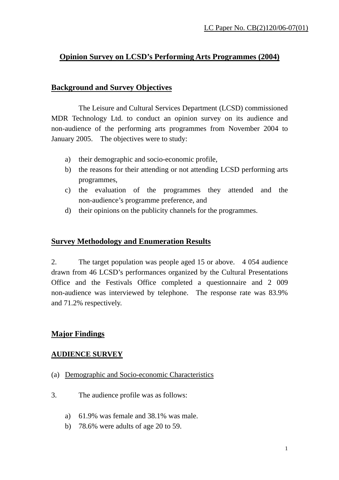### **Opinion Survey on LCSD's Performing Arts Programmes (2004)**

#### **Background and Survey Objectives**

 The Leisure and Cultural Services Department (LCSD) commissioned MDR Technology Ltd. to conduct an opinion survey on its audience and non-audience of the performing arts programmes from November 2004 to January 2005. The objectives were to study:

- a) their demographic and socio-economic profile,
- b) the reasons for their attending or not attending LCSD performing arts programmes,
- c) the evaluation of the programmes they attended and the non-audience's programme preference, and
- d) their opinions on the publicity channels for the programmes.

#### **Survey Methodology and Enumeration Results**

2. The target population was people aged 15 or above. 4 054 audience drawn from 46 LCSD's performances organized by the Cultural Presentations Office and the Festivals Office completed a questionnaire and 2 009 non-audience was interviewed by telephone. The response rate was 83.9% and 71.2% respectively.

#### **Major Findings**

#### **AUDIENCE SURVEY**

- (a) Demographic and Socio-economic Characteristics
- 3. The audience profile was as follows:
	- a) 61.9% was female and 38.1% was male.
	- b) 78.6% were adults of age 20 to 59.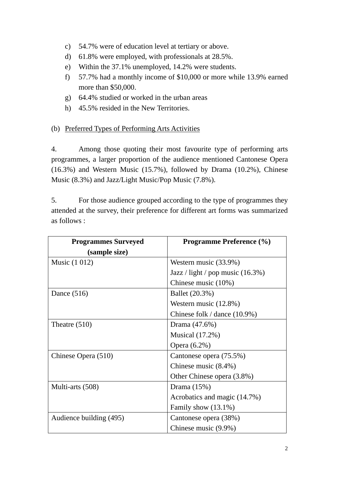- c) 54.7% were of education level at tertiary or above.
- d) 61.8% were employed, with professionals at 28.5%.
- e) Within the 37.1% unemployed, 14.2% were students.
- f) 57.7% had a monthly income of \$10,000 or more while 13.9% earned more than \$50,000.
- g) 64.4% studied or worked in the urban areas
- h) 45.5% resided in the New Territories.

#### (b) Preferred Types of Performing Arts Activities

4. Among those quoting their most favourite type of performing arts programmes, a larger proportion of the audience mentioned Cantonese Opera (16.3%) and Western Music (15.7%), followed by Drama (10.2%), Chinese Music (8.3%) and Jazz/Light Music/Pop Music (7.8%).

5. For those audience grouped according to the type of programmes they attended at the survey, their preference for different art forms was summarized as follows :

| <b>Programmes Surveyed</b> | <b>Programme Preference (%)</b>     |
|----------------------------|-------------------------------------|
| (sample size)              |                                     |
| Music (1 012)              | Western music (33.9%)               |
|                            | Jazz / light / pop music $(16.3\%)$ |
|                            | Chinese music (10%)                 |
| Dance $(516)$              | Ballet (20.3%)                      |
|                            | Western music $(12.8\%)$            |
|                            | Chinese folk / dance $(10.9\%)$     |
| Theatre $(510)$            | Drama (47.6%)                       |
|                            | Musical (17.2%)                     |
|                            | Opera (6.2%)                        |
| Chinese Opera (510)        | Cantonese opera (75.5%)             |
|                            | Chinese music $(8.4\%)$             |
|                            | Other Chinese opera (3.8%)          |
| Multi-arts (508)           | Drama $(15%)$                       |
|                            | Acrobatics and magic (14.7%)        |
|                            | Family show $(13.1\%)$              |
| Audience building (495)    | Cantonese opera (38%)               |
|                            | Chinese music (9.9%)                |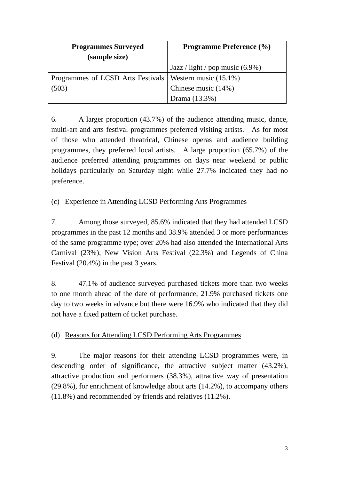| <b>Programmes Surveyed</b>                                | <b>Programme Preference (%)</b>    |
|-----------------------------------------------------------|------------------------------------|
| (sample size)                                             |                                    |
|                                                           | Jazz / light / pop music $(6.9\%)$ |
| Programmes of LCSD Arts Festivals   Western music (15.1%) |                                    |
| (503)                                                     | Chinese music (14%)                |
|                                                           | Drama (13.3%)                      |

6. A larger proportion (43.7%) of the audience attending music, dance, multi-art and arts festival programmes preferred visiting artists. As for most of those who attended theatrical, Chinese operas and audience building programmes, they preferred local artists. A large proportion (65.7%) of the audience preferred attending programmes on days near weekend or public holidays particularly on Saturday night while 27.7% indicated they had no preference.

#### (c) Experience in Attending LCSD Performing Arts Programmes

7. Among those surveyed, 85.6% indicated that they had attended LCSD programmes in the past 12 months and 38.9% attended 3 or more performances of the same programme type; over 20% had also attended the International Arts Carnival (23%), New Vision Arts Festival (22.3%) and Legends of China Festival (20.4%) in the past 3 years.

8. 47.1% of audience surveyed purchased tickets more than two weeks to one month ahead of the date of performance; 21.9% purchased tickets one day to two weeks in advance but there were 16.9% who indicated that they did not have a fixed pattern of ticket purchase.

#### (d) Reasons for Attending LCSD Performing Arts Programmes

9. The major reasons for their attending LCSD programmes were, in descending order of significance, the attractive subject matter (43.2%), attractive production and performers (38.3%), attractive way of presentation (29.8%), for enrichment of knowledge about arts (14.2%), to accompany others (11.8%) and recommended by friends and relatives (11.2%).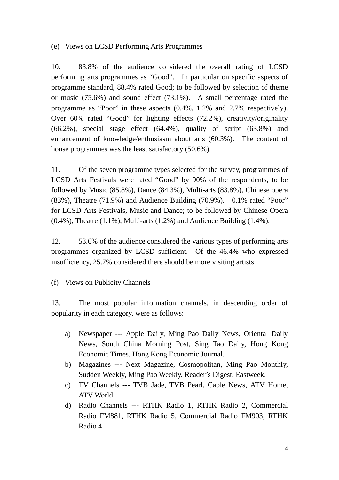#### (e) Views on LCSD Performing Arts Programmes

10. 83.8% of the audience considered the overall rating of LCSD performing arts programmes as "Good". In particular on specific aspects of programme standard, 88.4% rated Good; to be followed by selection of theme or music (75.6%) and sound effect (73.1%). A small percentage rated the programme as "Poor" in these aspects (0.4%, 1.2% and 2.7% respectively). Over 60% rated "Good" for lighting effects (72.2%), creativity/originality  $(66.2\%)$ , special stage effect  $(64.4\%)$ , quality of script  $(63.8\%)$  and enhancement of knowledge/enthusiasm about arts (60.3%). The content of house programmes was the least satisfactory (50.6%).

11. Of the seven programme types selected for the survey, programmes of LCSD Arts Festivals were rated "Good" by 90% of the respondents, to be followed by Music (85.8%), Dance (84.3%), Multi-arts (83.8%), Chinese opera (83%), Theatre (71.9%) and Audience Building (70.9%). 0.1% rated "Poor" for LCSD Arts Festivals, Music and Dance; to be followed by Chinese Opera (0.4%), Theatre (1.1%), Multi-arts (1.2%) and Audience Building (1.4%).

12. 53.6% of the audience considered the various types of performing arts programmes organized by LCSD sufficient. Of the 46.4% who expressed insufficiency, 25.7% considered there should be more visiting artists.

#### (f) Views on Publicity Channels

13. The most popular information channels, in descending order of popularity in each category, were as follows:

- a) Newspaper --- Apple Daily, Ming Pao Daily News, Oriental Daily News, South China Morning Post, Sing Tao Daily, Hong Kong Economic Times, Hong Kong Economic Journal.
- b) Magazines --- Next Magazine, Cosmopolitan, Ming Pao Monthly, Sudden Weekly, Ming Pao Weekly, Reader's Digest, Eastweek.
- c) TV Channels --- TVB Jade, TVB Pearl, Cable News, ATV Home, ATV World.
- d) Radio Channels --- RTHK Radio 1, RTHK Radio 2, Commercial Radio FM881, RTHK Radio 5, Commercial Radio FM903, RTHK Radio 4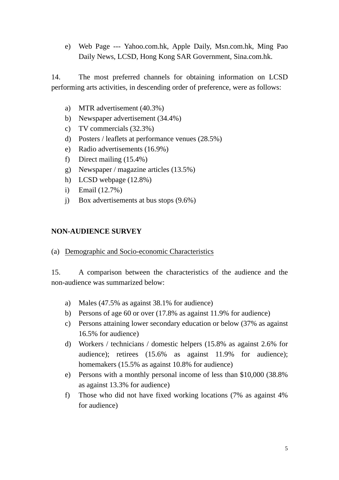e) Web Page --- Yahoo.com.hk, Apple Daily, Msn.com.hk, Ming Pao Daily News, LCSD, Hong Kong SAR Government, Sina.com.hk.

14. The most preferred channels for obtaining information on LCSD performing arts activities, in descending order of preference, were as follows:

- a) MTR advertisement (40.3%)
- b) Newspaper advertisement (34.4%)
- c) TV commercials (32.3%)
- d) Posters / leaflets at performance venues (28.5%)
- e) Radio advertisements (16.9%)
- f) Direct mailing (15.4%)
- g) Newspaper / magazine articles (13.5%)
- h) LCSD webpage (12.8%)
- i) Email (12.7%)
- j) Box advertisements at bus stops (9.6%)

#### **NON-AUDIENCE SURVEY**

(a) Demographic and Socio-economic Characteristics

15. A comparison between the characteristics of the audience and the non-audience was summarized below:

- a) Males (47.5% as against 38.1% for audience)
- b) Persons of age 60 or over (17.8% as against 11.9% for audience)
- c) Persons attaining lower secondary education or below (37% as against 16.5% for audience)
- d) Workers / technicians / domestic helpers (15.8% as against 2.6% for audience); retirees (15.6% as against 11.9% for audience); homemakers (15.5% as against 10.8% for audience)
- e) Persons with a monthly personal income of less than \$10,000 (38.8% as against 13.3% for audience)
- f) Those who did not have fixed working locations (7% as against 4% for audience)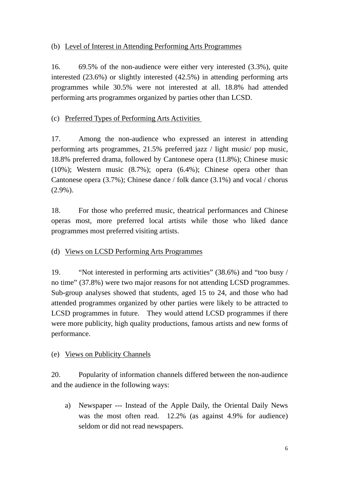#### (b) Level of Interest in Attending Performing Arts Programmes

16. 69.5% of the non-audience were either very interested (3.3%), quite interested (23.6%) or slightly interested (42.5%) in attending performing arts programmes while 30.5% were not interested at all. 18.8% had attended performing arts programmes organized by parties other than LCSD.

#### (c) Preferred Types of Performing Arts Activities

17. Among the non-audience who expressed an interest in attending performing arts programmes, 21.5% preferred jazz / light music/ pop music, 18.8% preferred drama, followed by Cantonese opera (11.8%); Chinese music (10%); Western music (8.7%); opera (6.4%); Chinese opera other than Cantonese opera (3.7%); Chinese dance / folk dance (3.1%) and vocal / chorus (2.9%).

18. For those who preferred music, theatrical performances and Chinese operas most, more preferred local artists while those who liked dance programmes most preferred visiting artists.

#### (d) Views on LCSD Performing Arts Programmes

19. "Not interested in performing arts activities" (38.6%) and "too busy / no time" (37.8%) were two major reasons for not attending LCSD programmes. Sub-group analyses showed that students, aged 15 to 24, and those who had attended programmes organized by other parties were likely to be attracted to LCSD programmes in future. They would attend LCSD programmes if there were more publicity, high quality productions, famous artists and new forms of performance.

#### (e) Views on Publicity Channels

20. Popularity of information channels differed between the non-audience and the audience in the following ways:

a) Newspaper --- Instead of the Apple Daily, the Oriental Daily News was the most often read. 12.2% (as against 4.9% for audience) seldom or did not read newspapers.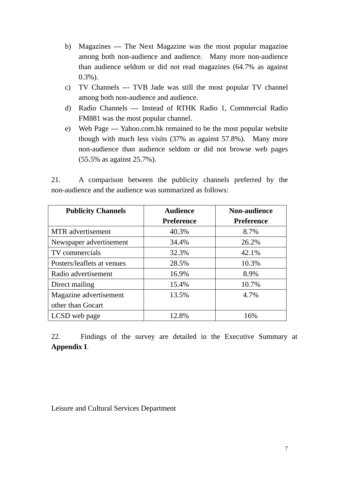- b) Magazines --- The Next Magazine was the most popular magazine among both non-audience and audience. Many more non-audience than audience seldom or did not read magazines (64.7% as against 0.3%).
- c) TV Channels --- TVB Jade was still the most popular TV channel among both non-audience and audience.
- d) Radio Channels --- Instead of RTHK Radio 1, Commercial Radio FM881 was the most popular channel.
- e) Web Page --- Yahoo.com.hk remained to be the most popular website though with much less visits (37% as against 57.8%). Many more non-audience than audience seldom or did not browse web pages (55.5% as against 25.7%).

21. A comparison between the publicity channels preferred by the non-audience and the audience was summarized as follows:

| <b>Publicity Channels</b>  | <b>Audience</b>   | <b>Non-audience</b> |
|----------------------------|-------------------|---------------------|
|                            | <b>Preference</b> | <b>Preference</b>   |
| <b>MTR</b> advertisement   | 40.3%             | 8.7%                |
| Newspaper advertisement    | 34.4%             | 26.2%               |
| TV commercials             | 32.3%             | 42.1%               |
| Posters/leaflets at venues | 28.5%             | 10.3%               |
| Radio advertisement        | 16.9%             | 8.9%                |
| Direct mailing             | 15.4%             | 10.7%               |
| Magazine advertisement     | 13.5%             | 4.7%                |
| other than Gocart          |                   |                     |
| LCSD web page              | 12.8%             | 16%                 |

22. Findings of the survey are detailed in the Executive Summary at **Appendix I**.

Leisure and Cultural Services Department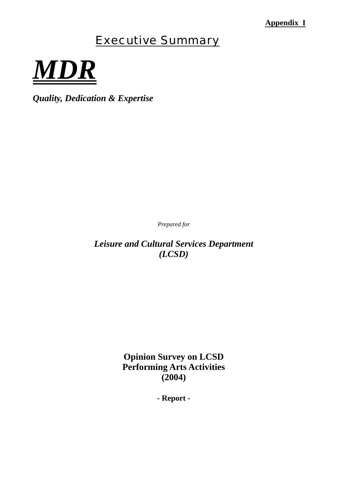### **Appendix I**

# Executive Summary

*MDR*

*Quality, Dedication & Expertise* 

*Prepared for*

*Leisure and Cultural Services Department (LCSD)* 

> **Opinion Survey on LCSD Performing Arts Activities (2004)**

> > **- Report -**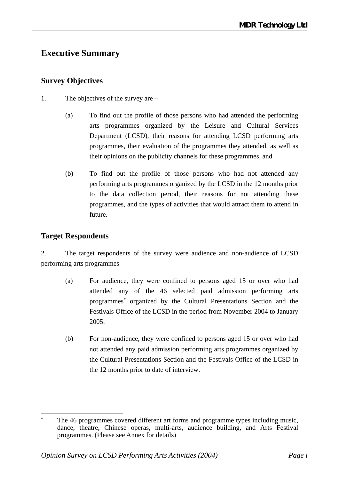## **Executive Summary**

### **Survey Objectives**

- 1. The objectives of the survey are
	- (a) To find out the profile of those persons who had attended the performing arts programmes organized by the Leisure and Cultural Services Department (LCSD), their reasons for attending LCSD performing arts programmes, their evaluation of the programmes they attended, as well as their opinions on the publicity channels for these programmes, and
	- (b) To find out the profile of those persons who had not attended any performing arts programmes organized by the LCSD in the 12 months prior to the data collection period, their reasons for not attending these programmes, and the types of activities that would attract them to attend in future.

### **Target Respondents**

2. The target respondents of the survey were audience and non-audience of LCSD performing arts programmes –

- (a) For audience, they were confined to persons aged 15 or over who had attended any of the 46 selected paid admission performing arts programmes<sup>∗</sup> organized by the Cultural Presentations Section and the Festivals Office of the LCSD in the period from November 2004 to January 2005.
- (b) For non-audience, they were confined to persons aged 15 or over who had not attended any paid admission performing arts programmes organized by the Cultural Presentations Section and the Festivals Office of the LCSD in the 12 months prior to date of interview.

 $\overline{a}$ The 46 programmes covered different art forms and programme types including music, dance, theatre, Chinese operas, multi-arts, audience building, and Arts Festival programmes. (Please see Annex for details)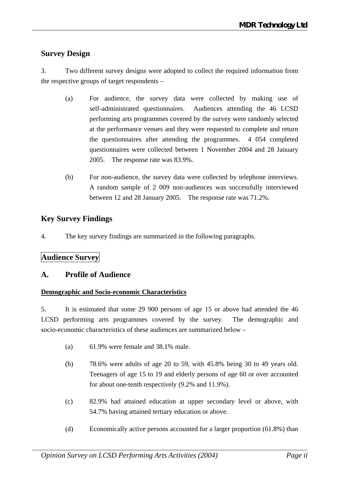### **Survey Design**

3. Two different survey designs were adopted to collect the required information from the respective groups of target respondents –

- (a) For audience, the survey data were collected by making use of self-administrated questionnaires. Audiences attending the 46 LCSD performing arts programmes covered by the survey were randomly selected at the performance venues and they were requested to complete and return the questionnaires after attending the programmes. 4 054 completed questionnaires were collected between 1 November 2004 and 28 January 2005. The response rate was 83.9%.
- (b) For non-audience, the survey data were collected by telephone interviews. A random sample of 2 009 non-audiences was successfully interviewed between 12 and 28 January 2005. The response rate was 71.2%.

### **Key Survey Findings**

4. The key survey findings are summarized in the following paragraphs.

### **Audience Survey**

### **A. Profile of Audience**

#### **Demographic and Socio-economic Characteristics**

5. It is estimated that some 29 900 persons of age 15 or above had attended the 46 LCSD performing arts programmes covered by the survey. The demographic and socio-economic characteristics of these audiences are summarized below –

- (a) 61.9% were female and 38.1% male.
- (b) 78.6% were adults of age 20 to 59, with 45.8% being 30 to 49 years old. Teenagers of age 15 to 19 and elderly persons of age 60 or over accounted for about one-tenth respectively (9.2% and 11.9%).
- (c) 82.9% had attained education at upper secondary level or above, with 54.7% having attained tertiary education or above.
- (d) Economically active persons accounted for a larger proportion (61.8%) than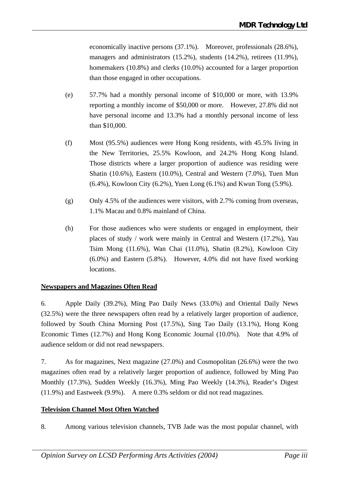economically inactive persons (37.1%). Moreover, professionals (28.6%), managers and administrators (15.2%), students (14.2%), retirees (11.9%), homemakers (10.8%) and clerks (10.0%) accounted for a larger proportion than those engaged in other occupations.

- (e) 57.7% had a monthly personal income of \$10,000 or more, with 13.9% reporting a monthly income of \$50,000 or more. However, 27.8% did not have personal income and 13.3% had a monthly personal income of less than \$10,000.
- (f) Most (95.5%) audiences were Hong Kong residents, with 45.5% living in the New Territories, 25.5% Kowloon, and 24.2% Hong Kong Island. Those districts where a larger proportion of audience was residing were Shatin (10.6%), Eastern (10.0%), Central and Western (7.0%), Tuen Mun (6.4%), Kowloon City (6.2%), Yuen Long (6.1%) and Kwun Tong (5.9%).
- (g) Only 4.5% of the audiences were visitors, with 2.7% coming from overseas, 1.1% Macau and 0.8% mainland of China.
- (h) For those audiences who were students or engaged in employment, their places of study / work were mainly in Central and Western (17.2%), Yau Tsim Mong (11.6%), Wan Chai (11.0%), Shatin (8.2%), Kowloon City (6.0%) and Eastern (5.8%). However, 4.0% did not have fixed working locations.

#### **Newspapers and Magazines Often Read**

6. Apple Daily (39.2%), Ming Pao Daily News (33.0%) and Oriental Daily News (32.5%) were the three newspapers often read by a relatively larger proportion of audience, followed by South China Morning Post (17.5%), Sing Tao Daily (13.1%), Hong Kong Economic Times (12.7%) and Hong Kong Economic Journal (10.0%). Note that 4.9% of audience seldom or did not read newspapers.

7. As for magazines, Next magazine (27.0%) and Cosmopolitan (26.6%) were the two magazines often read by a relatively larger proportion of audience, followed by Ming Pao Monthly (17.3%), Sudden Weekly (16.3%), Ming Pao Weekly (14.3%), Reader's Digest (11.9%) and Eastweek (9.9%). A mere 0.3% seldom or did not read magazines.

#### **Television Channel Most Often Watched**

8. Among various television channels, TVB Jade was the most popular channel, with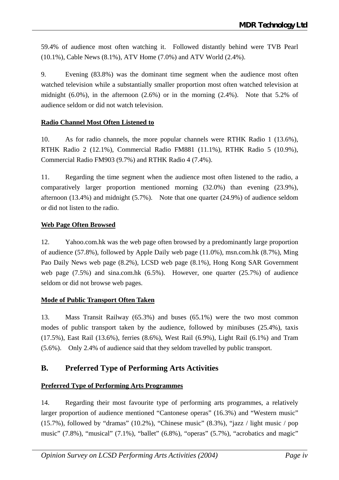59.4% of audience most often watching it. Followed distantly behind were TVB Pearl (10.1%), Cable News (8.1%), ATV Home (7.0%) and ATV World (2.4%).

9. Evening (83.8%) was the dominant time segment when the audience most often watched television while a substantially smaller proportion most often watched television at midnight (6.0%), in the afternoon (2.6%) or in the morning (2.4%). Note that 5.2% of audience seldom or did not watch television.

#### **Radio Channel Most Often Listened to**

10. As for radio channels, the more popular channels were RTHK Radio 1 (13.6%), RTHK Radio 2 (12.1%), Commercial Radio FM881 (11.1%), RTHK Radio 5 (10.9%), Commercial Radio FM903 (9.7%) and RTHK Radio 4 (7.4%).

11. Regarding the time segment when the audience most often listened to the radio, a comparatively larger proportion mentioned morning (32.0%) than evening (23.9%), afternoon (13.4%) and midnight (5.7%). Note that one quarter (24.9%) of audience seldom or did not listen to the radio.

#### **Web Page Often Browsed**

12. Yahoo.com.hk was the web page often browsed by a predominantly large proportion of audience (57.8%), followed by Apple Daily web page (11.0%), msn.com.hk (8.7%), Ming Pao Daily News web page (8.2%), LCSD web page (8.1%), Hong Kong SAR Government web page  $(7.5\%)$  and sina.com.hk  $(6.5\%)$ . However, one quarter  $(25.7\%)$  of audience seldom or did not browse web pages.

#### **Mode of Public Transport Often Taken**

13. Mass Transit Railway (65.3%) and buses (65.1%) were the two most common modes of public transport taken by the audience, followed by minibuses (25.4%), taxis (17.5%), East Rail (13.6%), ferries (8.6%), West Rail (6.9%), Light Rail (6.1%) and Tram (5.6%). Only 2.4% of audience said that they seldom travelled by public transport.

### **B. Preferred Type of Performing Arts Activities**

#### **Preferred Type of Performing Arts Programmes**

14. Regarding their most favourite type of performing arts programmes, a relatively larger proportion of audience mentioned "Cantonese operas" (16.3%) and "Western music" (15.7%), followed by "dramas" (10.2%), "Chinese music" (8.3%), "jazz / light music / pop music" (7.8%), "musical" (7.1%), "ballet" (6.8%), "operas" (5.7%), "acrobatics and magic"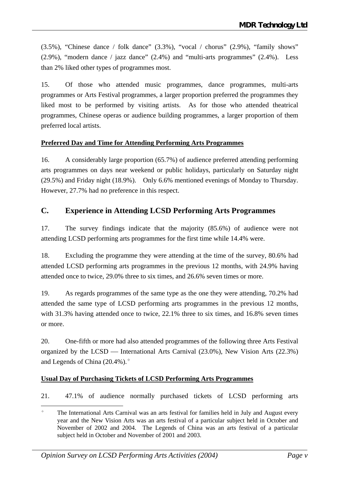$(3.5\%)$ , "Chinese dance / folk dance"  $(3.3\%)$ , "vocal / chorus"  $(2.9\%)$ , "family shows" (2.9%), "modern dance / jazz dance" (2.4%) and "multi-arts programmes" (2.4%). Less than 2% liked other types of programmes most.

15. Of those who attended music programmes, dance programmes, multi-arts programmes or Arts Festival programmes, a larger proportion preferred the programmes they liked most to be performed by visiting artists. As for those who attended theatrical programmes, Chinese operas or audience building programmes, a larger proportion of them preferred local artists.

#### **Preferred Day and Time for Attending Performing Arts Programmes**

16. A considerably large proportion (65.7%) of audience preferred attending performing arts programmes on days near weekend or public holidays, particularly on Saturday night (29.5%) and Friday night (18.9%). Only 6.6% mentioned evenings of Monday to Thursday. However, 27.7% had no preference in this respect.

#### **C. Experience in Attending LCSD Performing Arts Programmes**

17. The survey findings indicate that the majority (85.6%) of audience were not attending LCSD performing arts programmes for the first time while 14.4% were.

18. Excluding the programme they were attending at the time of the survey, 80.6% had attended LCSD performing arts programmes in the previous 12 months, with 24.9% having attended once to twice, 29.0% three to six times, and 26.6% seven times or more.

19. As regards programmes of the same type as the one they were attending, 70.2% had attended the same type of LCSD performing arts programmes in the previous 12 months, with 31.3% having attended once to twice, 22.1% three to six times, and 16.8% seven times or more.

20. One-fifth or more had also attended programmes of the following three Arts Festival organized by the  $LCSD$  — International Arts Carnival (23.0%), New Vision Arts (22.3%) and Legends of China (20.4%).

#### **Usual Day of Purchasing Tickets of LCSD Performing Arts Programmes**

21. 47.1% of audience normally purchased tickets of LCSD performing arts

 $\overline{a}$  The International Arts Carnival was an arts festival for families held in July and August every year and the New Vision Arts was an arts festival of a particular subject held in October and November of 2002 and 2004. The Legends of China was an arts festival of a particular subject held in October and November of 2001 and 2003.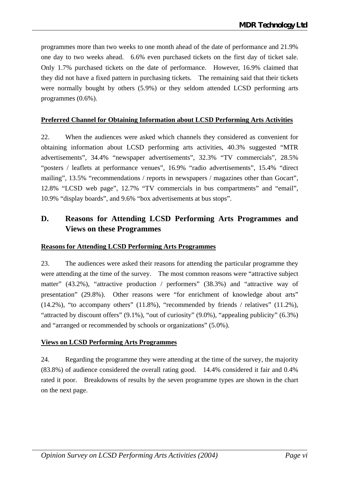programmes more than two weeks to one month ahead of the date of performance and 21.9% one day to two weeks ahead. 6.6% even purchased tickets on the first day of ticket sale. Only 1.7% purchased tickets on the date of performance. However, 16.9% claimed that they did not have a fixed pattern in purchasing tickets. The remaining said that their tickets were normally bought by others (5.9%) or they seldom attended LCSD performing arts programmes (0.6%).

#### **Preferred Channel for Obtaining Information about LCSD Performing Arts Activities**

22. When the audiences were asked which channels they considered as convenient for obtaining information about LCSD performing arts activities, 40.3% suggested "MTR advertisements", 34.4% "newspaper advertisements", 32.3% "TV commercials", 28.5% "posters / leaflets at performance venues", 16.9% "radio advertisements", 15.4% "direct mailing", 13.5% "recommendations / reports in newspapers / magazines other than Gocart", 12.8% "LCSD web page", 12.7% "TV commercials in bus compartments" and "email", 10.9% "display boards", and 9.6% "box advertisements at bus stops".

### **D. Reasons for Attending LCSD Performing Arts Programmes and Views on these Programmes**

#### **Reasons for Attending LCSD Performing Arts Programmes**

23. The audiences were asked their reasons for attending the particular programme they were attending at the time of the survey. The most common reasons were "attractive subject matter" (43.2%), "attractive production / performers" (38.3%) and "attractive way of presentation" (29.8%). Other reasons were "for enrichment of knowledge about arts"  $(14.2\%)$ , "to accompany others"  $(11.8\%)$ , "recommended by friends / relatives"  $(11.2\%)$ , "attracted by discount offers" (9.1%), "out of curiosity" (9.0%), "appealing publicity" (6.3%) and "arranged or recommended by schools or organizations" (5.0%).

#### **Views on LCSD Performing Arts Programmes**

24. Regarding the programme they were attending at the time of the survey, the majority (83.8%) of audience considered the overall rating good. 14.4% considered it fair and 0.4% rated it poor. Breakdowns of results by the seven programme types are shown in the chart on the next page.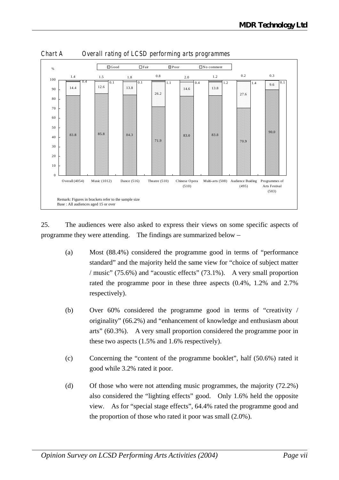

*Chart A Overall rating of LCSD performing arts programmes*

25. The audiences were also asked to express their views on some specific aspects of programme they were attending. The findings are summarized below –

- (a) Most (88.4%) considered the programme good in terms of "performance standard" and the majority held the same view for "choice of subject matter / music" (75.6%) and "acoustic effects" (73.1%). A very small proportion rated the programme poor in these three aspects (0.4%, 1.2% and 2.7% respectively).
- (b) Over 60% considered the programme good in terms of "creativity / originality" (66.2%) and "enhancement of knowledge and enthusiasm about arts" (60.3%). A very small proportion considered the programme poor in these two aspects (1.5% and 1.6% respectively).
- (c) Concerning the "content of the programme booklet", half (50.6%) rated it good while 3.2% rated it poor.
- (d) Of those who were not attending music programmes, the majority (72.2%) also considered the "lighting effects" good. Only 1.6% held the opposite view. As for "special stage effects", 64.4% rated the programme good and the proportion of those who rated it poor was small (2.0%).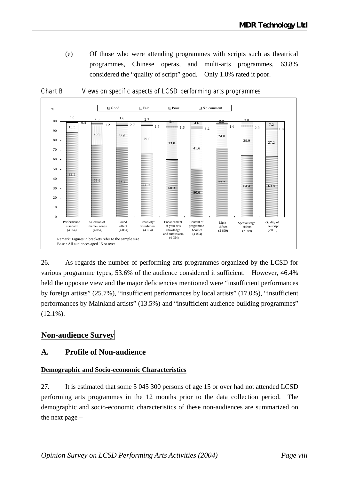(e) Of those who were attending programmes with scripts such as theatrical programmes, Chinese operas, and multi-arts programmes, 63.8% considered the "quality of script" good. Only 1.8% rated it poor.



*Chart B Views on specific aspects of LCSD performing arts programmes*

26. As regards the number of performing arts programmes organized by the LCSD for various programme types, 53.6% of the audience considered it sufficient. However, 46.4% held the opposite view and the major deficiencies mentioned were "insufficient performances by foreign artists" (25.7%), "insufficient performances by local artists" (17.0%), "insufficient performances by Mainland artists" (13.5%) and "insufficient audience building programmes"  $(12.1\%)$ .

### **Non-audience Survey**

#### **A. Profile of Non-audience**

#### **Demographic and Socio-economic Characteristics**

27. It is estimated that some 5 045 300 persons of age 15 or over had not attended LCSD performing arts programmes in the 12 months prior to the data collection period. The demographic and socio-economic characteristics of these non-audiences are summarized on the next page –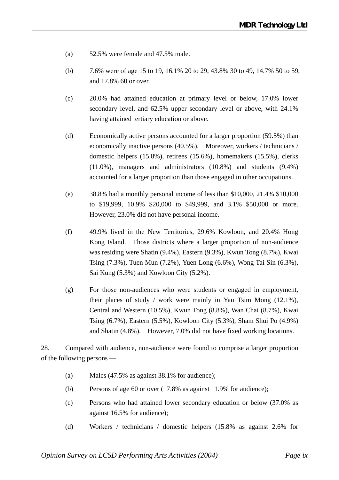- (a) 52.5% were female and 47.5% male.
- (b) 7.6% were of age 15 to 19, 16.1% 20 to 29, 43.8% 30 to 49, 14.7% 50 to 59, and 17.8% 60 or over.
- (c) 20.0% had attained education at primary level or below, 17.0% lower secondary level, and 62.5% upper secondary level or above, with 24.1% having attained tertiary education or above.
- (d) Economically active persons accounted for a larger proportion (59.5%) than economically inactive persons (40.5%). Moreover, workers / technicians / domestic helpers (15.8%), retirees (15.6%), homemakers (15.5%), clerks (11.0%), managers and administrators (10.8%) and students (9.4%) accounted for a larger proportion than those engaged in other occupations.
- (e) 38.8% had a monthly personal income of less than \$10,000, 21.4% \$10,000 to \$19,999, 10.9% \$20,000 to \$49,999, and 3.1% \$50,000 or more. However, 23.0% did not have personal income.
- (f) 49.9% lived in the New Territories, 29.6% Kowloon, and 20.4% Hong Kong Island. Those districts where a larger proportion of non-audience was residing were Shatin (9.4%), Eastern (9.3%), Kwun Tong (8.7%), Kwai Tsing (7.3%), Tuen Mun (7.2%), Yuen Long (6.6%), Wong Tai Sin (6.3%), Sai Kung (5.3%) and Kowloon City (5.2%).
- (g) For those non-audiences who were students or engaged in employment, their places of study / work were mainly in Yau Tsim Mong (12.1%), Central and Western (10.5%), Kwun Tong (8.8%), Wan Chai (8.7%), Kwai Tsing (6.7%), Eastern (5.5%), Kowloon City (5.3%), Sham Shui Po (4.9%) and Shatin (4.8%). However, 7.0% did not have fixed working locations.

28. Compared with audience, non-audience were found to comprise a larger proportion of the following persons —

- (a) Males (47.5% as against 38.1% for audience);
- (b) Persons of age 60 or over (17.8% as against 11.9% for audience);
- (c) Persons who had attained lower secondary education or below (37.0% as against 16.5% for audience);
- (d) Workers / technicians / domestic helpers (15.8% as against 2.6% for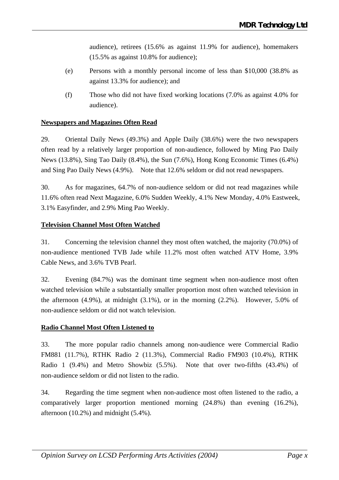audience), retirees (15.6% as against 11.9% for audience), homemakers (15.5% as against 10.8% for audience);

- (e) Persons with a monthly personal income of less than \$10,000 (38.8% as against 13.3% for audience); and
- (f) Those who did not have fixed working locations (7.0% as against 4.0% for audience).

#### **Newspapers and Magazines Often Read**

29. Oriental Daily News (49.3%) and Apple Daily (38.6%) were the two newspapers often read by a relatively larger proportion of non-audience, followed by Ming Pao Daily News (13.8%), Sing Tao Daily (8.4%), the Sun (7.6%), Hong Kong Economic Times (6.4%) and Sing Pao Daily News (4.9%). Note that 12.6% seldom or did not read newspapers.

30. As for magazines, 64.7% of non-audience seldom or did not read magazines while 11.6% often read Next Magazine, 6.0% Sudden Weekly, 4.1% New Monday, 4.0% Eastweek, 3.1% Easyfinder, and 2.9% Ming Pao Weekly.

#### **Television Channel Most Often Watched**

31. Concerning the television channel they most often watched, the majority (70.0%) of non-audience mentioned TVB Jade while 11.2% most often watched ATV Home, 3.9% Cable News, and 3.6% TVB Pearl.

32. Evening (84.7%) was the dominant time segment when non-audience most often watched television while a substantially smaller proportion most often watched television in the afternoon (4.9%), at midnight (3.1%), or in the morning (2.2%). However, 5.0% of non-audience seldom or did not watch television.

#### **Radio Channel Most Often Listened to**

33. The more popular radio channels among non-audience were Commercial Radio FM881 (11.7%), RTHK Radio 2 (11.3%), Commercial Radio FM903 (10.4%), RTHK Radio 1 (9.4%) and Metro Showbiz (5.5%). Note that over two-fifths (43.4%) of non-audience seldom or did not listen to the radio.

34. Regarding the time segment when non-audience most often listened to the radio, a comparatively larger proportion mentioned morning (24.8%) than evening (16.2%), afternoon (10.2%) and midnight (5.4%).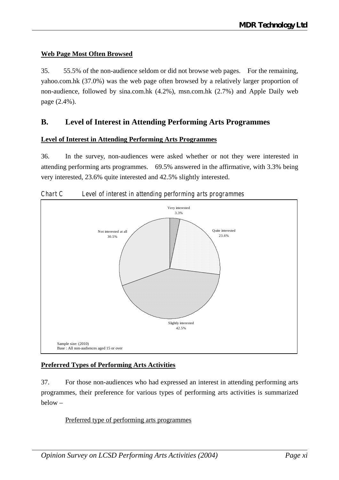#### **Web Page Most Often Browsed**

35. 55.5% of the non-audience seldom or did not browse web pages. For the remaining, yahoo.com.hk (37.0%) was the web page often browsed by a relatively larger proportion of non-audience, followed by sina.com.hk (4.2%), msn.com.hk (2.7%) and Apple Daily web page (2.4%).

#### **B. Level of Interest in Attending Performing Arts Programmes**

#### **Level of Interest in Attending Performing Arts Programmes**

36. In the survey, non-audiences were asked whether or not they were interested in attending performing arts programmes. 69.5% answered in the affirmative, with 3.3% being very interested, 23.6% quite interested and 42.5% slightly interested.



*Chart C Level of interest in attending performing arts programmes*

#### **Preferred Types of Performing Arts Activities**

37. For those non-audiences who had expressed an interest in attending performing arts programmes, their preference for various types of performing arts activities is summarized below –

#### Preferred type of performing arts programmes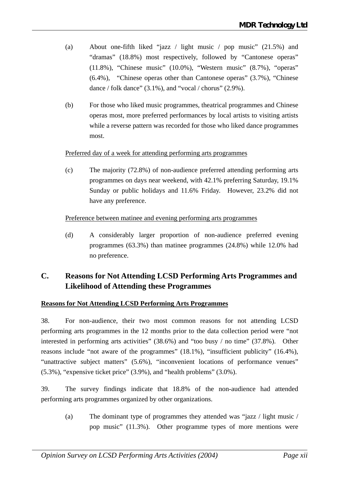- (a) About one-fifth liked "jazz / light music / pop music" (21.5%) and "dramas" (18.8%) most respectively, followed by "Cantonese operas" (11.8%), "Chinese music" (10.0%), "Western music" (8.7%), "operas" (6.4%), "Chinese operas other than Cantonese operas" (3.7%), "Chinese dance / folk dance"  $(3.1\%)$ , and "vocal / chorus"  $(2.9\%)$ .
- (b) For those who liked music programmes, theatrical programmes and Chinese operas most, more preferred performances by local artists to visiting artists while a reverse pattern was recorded for those who liked dance programmes most.

#### Preferred day of a week for attending performing arts programmes

(c) The majority (72.8%) of non-audience preferred attending performing arts programmes on days near weekend, with 42.1% preferring Saturday, 19.1% Sunday or public holidays and 11.6% Friday. However, 23.2% did not have any preference.

#### Preference between matinee and evening performing arts programmes

(d) A considerably larger proportion of non-audience preferred evening programmes (63.3%) than matinee programmes (24.8%) while 12.0% had no preference.

### **C. Reasons for Not Attending LCSD Performing Arts Programmes and Likelihood of Attending these Programmes**

#### **Reasons for Not Attending LCSD Performing Arts Programmes**

38. For non-audience, their two most common reasons for not attending LCSD performing arts programmes in the 12 months prior to the data collection period were "not interested in performing arts activities" (38.6%) and "too busy / no time" (37.8%). Other reasons include "not aware of the programmes" (18.1%), "insufficient publicity" (16.4%), "unattractive subject matters" (5.6%), "inconvenient locations of performance venues" (5.3%), "expensive ticket price" (3.9%), and "health problems" (3.0%).

39. The survey findings indicate that 18.8% of the non-audience had attended performing arts programmes organized by other organizations.

(a) The dominant type of programmes they attended was "jazz / light music / pop music" (11.3%). Other programme types of more mentions were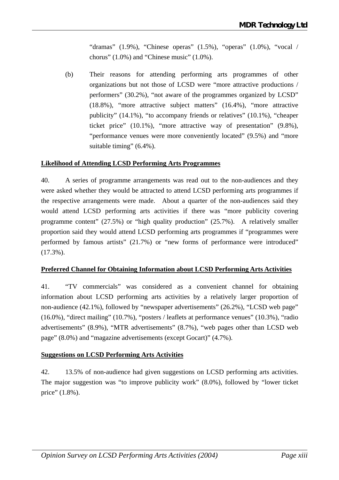"dramas"  $(1.9\%)$ , "Chinese operas"  $(1.5\%)$ , "operas"  $(1.0\%)$ , "vocal / chorus" (1.0%) and "Chinese music" (1.0%).

(b) Their reasons for attending performing arts programmes of other organizations but not those of LCSD were "more attractive productions / performers" (30.2%), "not aware of the programmes organized by LCSD" (18.8%), "more attractive subject matters" (16.4%), "more attractive publicity" (14.1%), "to accompany friends or relatives" (10.1%), "cheaper ticket price" (10.1%), "more attractive way of presentation" (9.8%), "performance venues were more conveniently located" (9.5%) and "more suitable timing" (6.4%).

#### **Likelihood of Attending LCSD Performing Arts Programmes**

40. A series of programme arrangements was read out to the non-audiences and they were asked whether they would be attracted to attend LCSD performing arts programmes if the respective arrangements were made. About a quarter of the non-audiences said they would attend LCSD performing arts activities if there was "more publicity covering programme content" (27.5%) or "high quality production" (25.7%). A relatively smaller proportion said they would attend LCSD performing arts programmes if "programmes were performed by famous artists" (21.7%) or "new forms of performance were introduced" (17.3%).

#### **Preferred Channel for Obtaining Information about LCSD Performing Arts Activities**

41. "TV commercials" was considered as a convenient channel for obtaining information about LCSD performing arts activities by a relatively larger proportion of non-audience (42.1%), followed by "newspaper advertisements" (26.2%), "LCSD web page" (16.0%), "direct mailing" (10.7%), "posters / leaflets at performance venues" (10.3%), "radio advertisements" (8.9%), "MTR advertisements" (8.7%), "web pages other than LCSD web page" (8.0%) and "magazine advertisements (except Gocart)" (4.7%).

#### **Suggestions on LCSD Performing Arts Activities**

42. 13.5% of non-audience had given suggestions on LCSD performing arts activities. The major suggestion was "to improve publicity work" (8.0%), followed by "lower ticket price" (1.8%).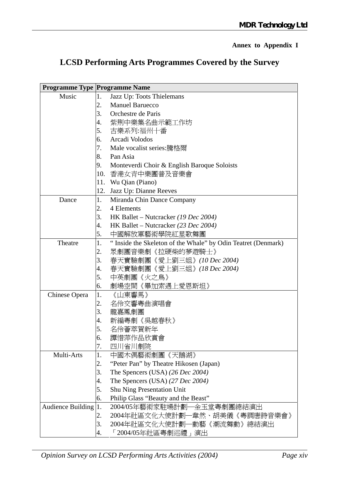### **Annex to Appendix I**

# **LCSD Performing Arts Programmes Covered by the Survey**

|                          | <b>Programme Type Programme Name</b> |                                                              |
|--------------------------|--------------------------------------|--------------------------------------------------------------|
| Music                    | 1.                                   | Jazz Up: Toots Thielemans                                    |
|                          | 2.                                   | <b>Manuel Baruecco</b>                                       |
|                          | 3.                                   | Orchestre de Paris                                           |
|                          | 4.                                   | 紫荆中樂集名曲示範工作坊                                                 |
|                          | 5.                                   | 古樂系列:福州十番                                                    |
|                          | 6.                                   | Arcadi Volodos                                               |
|                          | 7.                                   | Male vocalist series:騰格爾                                     |
|                          | 8.                                   | Pan Asia                                                     |
|                          | 9.                                   | Monteverdi Choir & English Baroque Soloists                  |
|                          | 10.                                  | 香港女青中樂團普及音樂會                                                 |
|                          | 11.                                  | Wu Qian (Piano)                                              |
|                          | 12.                                  | Jazz Up: Dianne Reeves                                       |
| Dance                    | 1.                                   | Miranda Chin Dance Company                                   |
|                          | 2.                                   | 4 Elements                                                   |
|                          | 3.                                   | HK Ballet – Nutcracker (19 Dec 2004)                         |
|                          | 4.                                   | HK Ballet – Nutcracker (23 Dec 2004)                         |
|                          | 5.                                   | 中國解放軍藝術學院紅星歌舞團                                               |
| Theatre                  | 1.                                   | "Inside the Skeleton of the Whale" by Odin Teatret (Denmark) |
|                          | 2.                                   | 眾劇團音樂劇《拉硬柴的夢遊騎士》                                             |
|                          | 3.                                   | 春天實驗劇團《愛上劉三姐》(10 Dec 2004)                                   |
|                          | 4.                                   | 春天實驗劇團《愛上劉三姐》(18 Dec 2004)                                   |
|                          | 5.                                   | 中英劇團《火之鳥》                                                    |
|                          | 6.                                   | 劇場空間《畢加索遇上愛恩斯坦》                                              |
| Chinese Opera            | 1.                                   | 《山東響馬》                                                       |
|                          | 2.                                   | 名伶交響粤曲演唱會                                                    |
|                          | 3.                                   | 龍嘉鳳劇團                                                        |
|                          | 4.                                   | 新編粵劇《吳越春秋》                                                   |
|                          | 5.                                   | 名伶薈萃賀新年                                                      |
|                          | 6.                                   | 譚惜萍作品欣賞會                                                     |
|                          | 7.                                   | 四川省川劇院                                                       |
| Multi-Arts               | 1.                                   | 中國木偶藝術劇團《天鵝湖》                                                |
|                          | 2.                                   | "Peter Pan" by Theatre Hikosen (Japan)                       |
|                          | 3.                                   | The Spencers (USA) (26 Dec 2004)                             |
|                          | 4.                                   | The Spencers (USA) (27 Dec 2004)                             |
|                          | 5.                                   | Shu Ning Presentation Unit                                   |
|                          | 6.                                   | Philip Glass "Beauty and the Beast"                          |
| <b>Audience Building</b> | 1.                                   | 2004/05年藝術家駐場計劃––余玉堂粵劇團總結演出                                  |
|                          | 2.                                   | 2004年社區文化大使計劃―韋然、胡美儀《粵調唐詩音樂會》                                |
|                          | 3.                                   | 2004年社區文化大使計劃—動藝《潮流舞動》總結演出                                   |
|                          | 4.                                   | 「2004/05年社區粵劇巡禮」演出                                           |